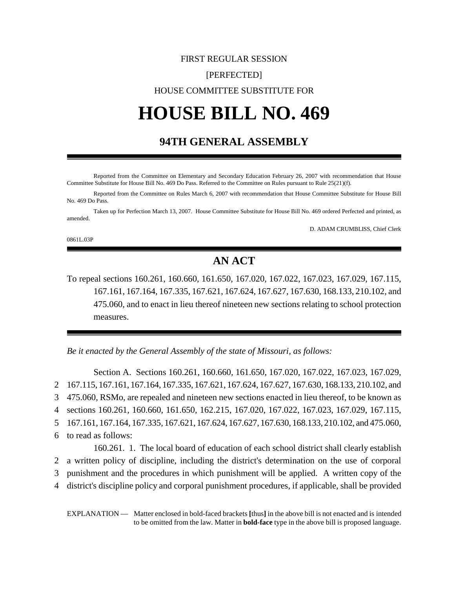## FIRST REGULAR SESSION [PERFECTED] HOUSE COMMITTEE SUBSTITUTE FOR

# **HOUSE BILL NO. 469**

### **94TH GENERAL ASSEMBLY**

Reported from the Committee on Elementary and Secondary Education February 26, 2007 with recommendation that House Committee Substitute for House Bill No. 469 Do Pass. Referred to the Committee on Rules pursuant to Rule 25(21)(f).

Reported from the Committee on Rules March 6, 2007 with recommendation that House Committee Substitute for House Bill No. 469 Do Pass.

Taken up for Perfection March 13, 2007. House Committee Substitute for House Bill No. 469 ordered Perfected and printed, as amended.

D. ADAM CRUMBLISS, Chief Clerk

0861L.03P

## **AN ACT**

To repeal sections 160.261, 160.660, 161.650, 167.020, 167.022, 167.023, 167.029, 167.115, 167.161, 167.164, 167.335, 167.621, 167.624, 167.627, 167.630, 168.133, 210.102, and 475.060, and to enact in lieu thereof nineteen new sections relating to school protection measures.

*Be it enacted by the General Assembly of the state of Missouri, as follows:*

Section A. Sections 160.261, 160.660, 161.650, 167.020, 167.022, 167.023, 167.029, 167.115, 167.161, 167.164, 167.335, 167.621, 167.624, 167.627, 167.630, 168.133, 210.102, and 475.060, RSMo, are repealed and nineteen new sections enacted in lieu thereof, to be known as sections 160.261, 160.660, 161.650, 162.215, 167.020, 167.022, 167.023, 167.029, 167.115, 167.161, 167.164, 167.335, 167.621, 167.624, 167.627, 167.630, 168.133, 210.102, and 475.060, to read as follows: 160.261. 1. The local board of education of each school district shall clearly establish a written policy of discipline, including the district's determination on the use of corporal

- 3 punishment and the procedures in which punishment will be applied. A written copy of the
- 4 district's discipline policy and corporal punishment procedures, if applicable, shall be provided

EXPLANATION — Matter enclosed in bold-faced brackets **[**thus**]** in the above bill is not enacted and is intended to be omitted from the law. Matter in **bold-face** type in the above bill is proposed language.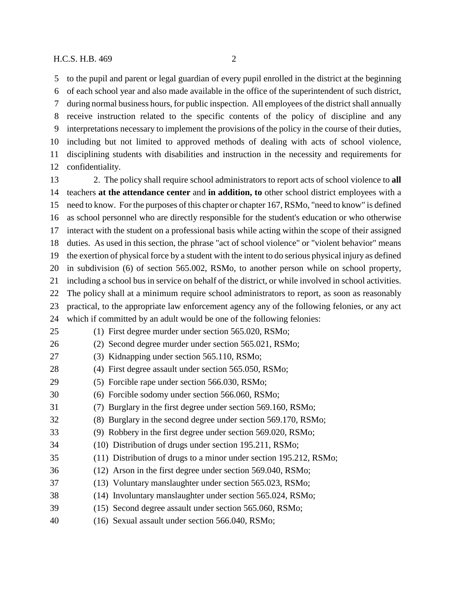to the pupil and parent or legal guardian of every pupil enrolled in the district at the beginning of each school year and also made available in the office of the superintendent of such district, during normal business hours, for public inspection. All employees of the district shall annually receive instruction related to the specific contents of the policy of discipline and any interpretations necessary to implement the provisions of the policy in the course of their duties, including but not limited to approved methods of dealing with acts of school violence, disciplining students with disabilities and instruction in the necessity and requirements for confidentiality.

 2. The policy shall require school administrators to report acts of school violence to **all** teachers **at the attendance center** and **in addition, to** other school district employees with a need to know. For the purposes of this chapter or chapter 167, RSMo, "need to know" is defined as school personnel who are directly responsible for the student's education or who otherwise interact with the student on a professional basis while acting within the scope of their assigned duties. As used in this section, the phrase "act of school violence" or "violent behavior" means the exertion of physical force by a student with the intent to do serious physical injury as defined in subdivision (6) of section 565.002, RSMo, to another person while on school property, including a school bus in service on behalf of the district, or while involved in school activities. The policy shall at a minimum require school administrators to report, as soon as reasonably practical, to the appropriate law enforcement agency any of the following felonies, or any act which if committed by an adult would be one of the following felonies: (1) First degree murder under section 565.020, RSMo;

- (2) Second degree murder under section 565.021, RSMo;
- (3) Kidnapping under section 565.110, RSMo;
- (4) First degree assault under section 565.050, RSMo;
- (5) Forcible rape under section 566.030, RSMo;
- (6) Forcible sodomy under section 566.060, RSMo;
- (7) Burglary in the first degree under section 569.160, RSMo;
- (8) Burglary in the second degree under section 569.170, RSMo;
- (9) Robbery in the first degree under section 569.020, RSMo;
- (10) Distribution of drugs under section 195.211, RSMo;
- (11) Distribution of drugs to a minor under section 195.212, RSMo;
- (12) Arson in the first degree under section 569.040, RSMo;
- (13) Voluntary manslaughter under section 565.023, RSMo;
- (14) Involuntary manslaughter under section 565.024, RSMo;
- (15) Second degree assault under section 565.060, RSMo;
- (16) Sexual assault under section 566.040, RSMo;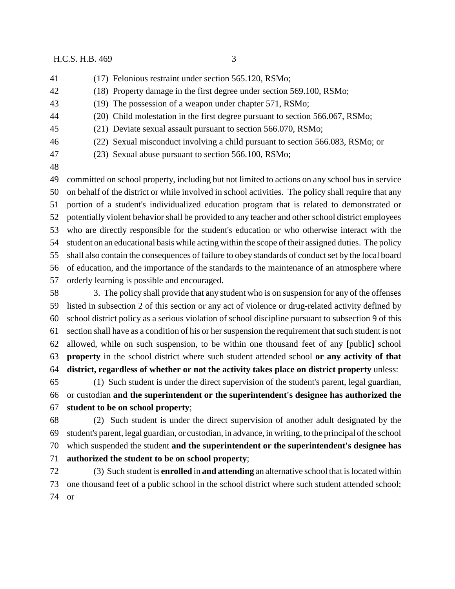- (17) Felonious restraint under section 565.120, RSMo;
- (18) Property damage in the first degree under section 569.100, RSMo;
- (19) The possession of a weapon under chapter 571, RSMo;
- (20) Child molestation in the first degree pursuant to section 566.067, RSMo;
- (21) Deviate sexual assault pursuant to section 566.070, RSMo;
- (22) Sexual misconduct involving a child pursuant to section 566.083, RSMo; or
- (23) Sexual abuse pursuant to section 566.100, RSMo;
- 

 committed on school property, including but not limited to actions on any school bus in service on behalf of the district or while involved in school activities. The policy shall require that any portion of a student's individualized education program that is related to demonstrated or potentially violent behavior shall be provided to any teacher and other school district employees who are directly responsible for the student's education or who otherwise interact with the student on an educational basis while acting within the scope of their assigned duties. The policy shall also contain the consequences of failure to obey standards of conduct set by the local board of education, and the importance of the standards to the maintenance of an atmosphere where orderly learning is possible and encouraged.

 3. The policy shall provide that any student who is on suspension for any of the offenses listed in subsection 2 of this section or any act of violence or drug-related activity defined by school district policy as a serious violation of school discipline pursuant to subsection 9 of this section shall have as a condition of his or her suspension the requirement that such student is not allowed, while on such suspension, to be within one thousand feet of any **[**public**]** school **property** in the school district where such student attended school **or any activity of that district, regardless of whether or not the activity takes place on district property** unless:

 (1) Such student is under the direct supervision of the student's parent, legal guardian, or custodian **and the superintendent or the superintendent's designee has authorized the student to be on school property**;

 (2) Such student is under the direct supervision of another adult designated by the student's parent, legal guardian, or custodian, in advance, in writing, to the principal of the school which suspended the student **and the superintendent or the superintendent's designee has authorized the student to be on school property**;

 (3) Such student is **enrolled** in **and attending** an alternative school that is located within one thousand feet of a public school in the school district where such student attended school; or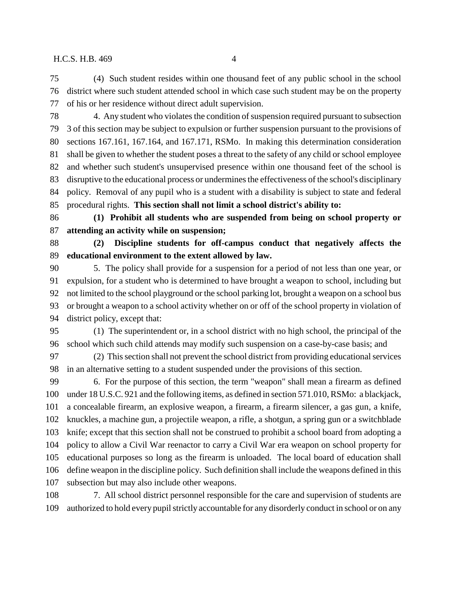(4) Such student resides within one thousand feet of any public school in the school district where such student attended school in which case such student may be on the property of his or her residence without direct adult supervision.

 4. Any student who violates the condition of suspension required pursuant to subsection 3 of this section may be subject to expulsion or further suspension pursuant to the provisions of sections 167.161, 167.164, and 167.171, RSMo. In making this determination consideration shall be given to whether the student poses a threat to the safety of any child or school employee and whether such student's unsupervised presence within one thousand feet of the school is disruptive to the educational process or undermines the effectiveness of the school's disciplinary policy. Removal of any pupil who is a student with a disability is subject to state and federal procedural rights. **This section shall not limit a school district's ability to:**

 **(1) Prohibit all students who are suspended from being on school property or attending an activity while on suspension;**

 **(2) Discipline students for off-campus conduct that negatively affects the educational environment to the extent allowed by law.**

 5. The policy shall provide for a suspension for a period of not less than one year, or expulsion, for a student who is determined to have brought a weapon to school, including but not limited to the school playground or the school parking lot, brought a weapon on a school bus or brought a weapon to a school activity whether on or off of the school property in violation of district policy, except that:

 (1) The superintendent or, in a school district with no high school, the principal of the school which such child attends may modify such suspension on a case-by-case basis; and

 (2) This section shall not prevent the school district from providing educational services in an alternative setting to a student suspended under the provisions of this section.

 6. For the purpose of this section, the term "weapon" shall mean a firearm as defined under 18 U.S.C. 921 and the following items, as defined in section 571.010, RSMo: a blackjack, a concealable firearm, an explosive weapon, a firearm, a firearm silencer, a gas gun, a knife, knuckles, a machine gun, a projectile weapon, a rifle, a shotgun, a spring gun or a switchblade knife; except that this section shall not be construed to prohibit a school board from adopting a policy to allow a Civil War reenactor to carry a Civil War era weapon on school property for educational purposes so long as the firearm is unloaded. The local board of education shall define weapon in the discipline policy. Such definition shall include the weapons defined in this subsection but may also include other weapons.

 7. All school district personnel responsible for the care and supervision of students are authorized to hold every pupil strictly accountable for any disorderly conduct in school or on any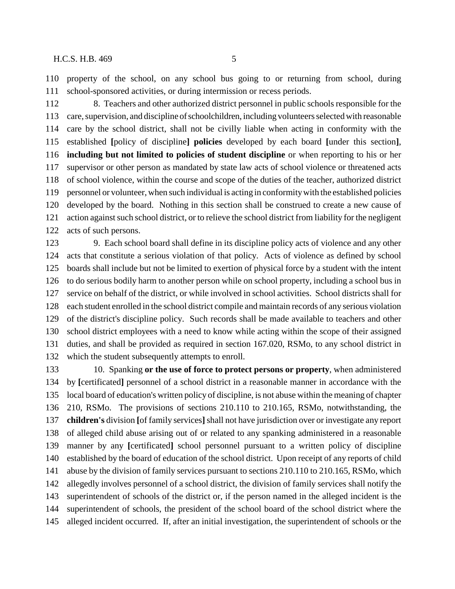property of the school, on any school bus going to or returning from school, during school-sponsored activities, or during intermission or recess periods.

 8. Teachers and other authorized district personnel in public schools responsible for the care, supervision, and discipline of schoolchildren, including volunteers selected with reasonable care by the school district, shall not be civilly liable when acting in conformity with the established **[**policy of discipline**] policies** developed by each board **[**under this section**]**, **including but not limited to policies of student discipline** or when reporting to his or her supervisor or other person as mandated by state law acts of school violence or threatened acts of school violence, within the course and scope of the duties of the teacher, authorized district personnel or volunteer, when such individual is acting in conformity with the established policies developed by the board. Nothing in this section shall be construed to create a new cause of action against such school district, or to relieve the school district from liability for the negligent acts of such persons.

 9. Each school board shall define in its discipline policy acts of violence and any other acts that constitute a serious violation of that policy. Acts of violence as defined by school boards shall include but not be limited to exertion of physical force by a student with the intent to do serious bodily harm to another person while on school property, including a school bus in service on behalf of the district, or while involved in school activities. School districts shall for each student enrolled in the school district compile and maintain records of any serious violation of the district's discipline policy. Such records shall be made available to teachers and other school district employees with a need to know while acting within the scope of their assigned duties, and shall be provided as required in section 167.020, RSMo, to any school district in which the student subsequently attempts to enroll.

 10. Spanking **or the use of force to protect persons or property**, when administered by **[**certificated**]** personnel of a school district in a reasonable manner in accordance with the local board of education's written policy of discipline, is not abuse within the meaning of chapter 210, RSMo. The provisions of sections 210.110 to 210.165, RSMo, notwithstanding, the **children's** division **[**of family services**]** shall not have jurisdiction over or investigate any report of alleged child abuse arising out of or related to any spanking administered in a reasonable manner by any **[**certificated**]** school personnel pursuant to a written policy of discipline established by the board of education of the school district. Upon receipt of any reports of child abuse by the division of family services pursuant to sections 210.110 to 210.165, RSMo, which allegedly involves personnel of a school district, the division of family services shall notify the superintendent of schools of the district or, if the person named in the alleged incident is the superintendent of schools, the president of the school board of the school district where the alleged incident occurred. If, after an initial investigation, the superintendent of schools or the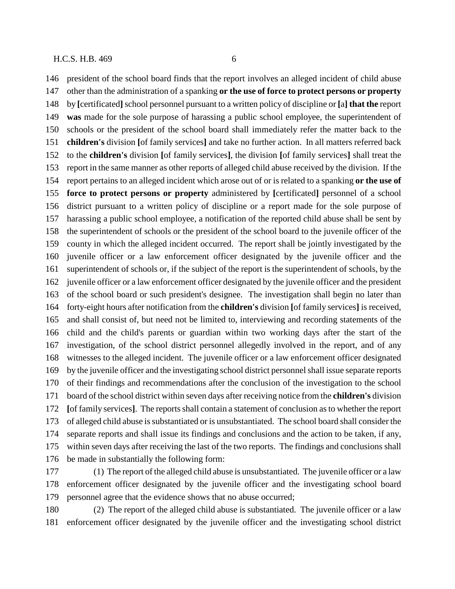president of the school board finds that the report involves an alleged incident of child abuse other than the administration of a spanking **or the use of force to protect persons or property** by **[**certificated**]** school personnel pursuant to a written policy of discipline or **[**a**] that the** report **was** made for the sole purpose of harassing a public school employee, the superintendent of schools or the president of the school board shall immediately refer the matter back to the **children's** division **[**of family services**]** and take no further action. In all matters referred back to the **children's** division **[**of family services**]**, the division **[**of family services**]** shall treat the report in the same manner as other reports of alleged child abuse received by the division. If the report pertains to an alleged incident which arose out of or is related to a spanking **or the use of force to protect persons or property** administered by **[**certificated**]** personnel of a school district pursuant to a written policy of discipline or a report made for the sole purpose of harassing a public school employee, a notification of the reported child abuse shall be sent by the superintendent of schools or the president of the school board to the juvenile officer of the county in which the alleged incident occurred. The report shall be jointly investigated by the juvenile officer or a law enforcement officer designated by the juvenile officer and the superintendent of schools or, if the subject of the report is the superintendent of schools, by the juvenile officer or a law enforcement officer designated by the juvenile officer and the president of the school board or such president's designee. The investigation shall begin no later than forty-eight hours after notification from the **children's** division **[**of family services**]** is received, and shall consist of, but need not be limited to, interviewing and recording statements of the child and the child's parents or guardian within two working days after the start of the investigation, of the school district personnel allegedly involved in the report, and of any witnesses to the alleged incident. The juvenile officer or a law enforcement officer designated by the juvenile officer and the investigating school district personnel shall issue separate reports of their findings and recommendations after the conclusion of the investigation to the school board of the school district within seven days after receiving notice from the **children's** division **[**of family services**]**. The reports shall contain a statement of conclusion as to whether the report of alleged child abuse is substantiated or is unsubstantiated. The school board shall consider the separate reports and shall issue its findings and conclusions and the action to be taken, if any, within seven days after receiving the last of the two reports. The findings and conclusions shall be made in substantially the following form:

 (1) The report of the alleged child abuse is unsubstantiated. The juvenile officer or a law enforcement officer designated by the juvenile officer and the investigating school board personnel agree that the evidence shows that no abuse occurred;

 (2) The report of the alleged child abuse is substantiated. The juvenile officer or a law enforcement officer designated by the juvenile officer and the investigating school district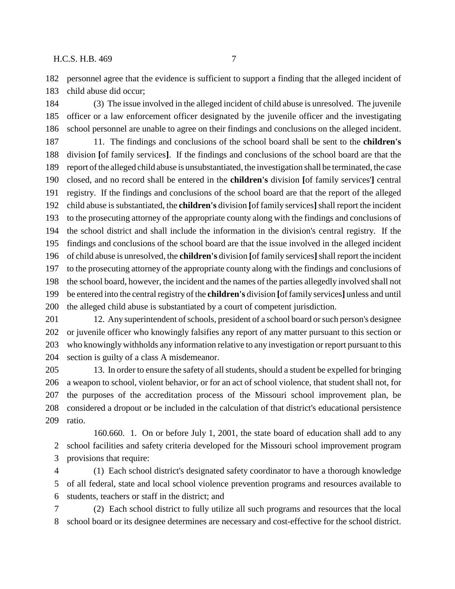personnel agree that the evidence is sufficient to support a finding that the alleged incident of child abuse did occur;

 (3) The issue involved in the alleged incident of child abuse is unresolved. The juvenile officer or a law enforcement officer designated by the juvenile officer and the investigating school personnel are unable to agree on their findings and conclusions on the alleged incident. 11. The findings and conclusions of the school board shall be sent to the **children's**

 division **[**of family services**]**. If the findings and conclusions of the school board are that the report of the alleged child abuse is unsubstantiated, the investigation shall be terminated, the case closed, and no record shall be entered in the **children's** division **[**of family services'**]** central registry. If the findings and conclusions of the school board are that the report of the alleged child abuse is substantiated, the **children's** division **[**of family services**]** shall report the incident to the prosecuting attorney of the appropriate county along with the findings and conclusions of the school district and shall include the information in the division's central registry. If the findings and conclusions of the school board are that the issue involved in the alleged incident of child abuse is unresolved, the **children's** division **[**of family services**]** shall report the incident to the prosecuting attorney of the appropriate county along with the findings and conclusions of the school board, however, the incident and the names of the parties allegedly involved shall not be entered into the central registry of the **children's** division **[**of family services**]** unless and until the alleged child abuse is substantiated by a court of competent jurisdiction.

 12. Any superintendent of schools, president of a school board or such person's designee or juvenile officer who knowingly falsifies any report of any matter pursuant to this section or who knowingly withholds any information relative to any investigation or report pursuant to this section is guilty of a class A misdemeanor.

 13. In order to ensure the safety of all students, should a student be expelled for bringing a weapon to school, violent behavior, or for an act of school violence, that student shall not, for the purposes of the accreditation process of the Missouri school improvement plan, be considered a dropout or be included in the calculation of that district's educational persistence ratio.

160.660. 1. On or before July 1, 2001, the state board of education shall add to any school facilities and safety criteria developed for the Missouri school improvement program provisions that require:

 (1) Each school district's designated safety coordinator to have a thorough knowledge of all federal, state and local school violence prevention programs and resources available to students, teachers or staff in the district; and

 (2) Each school district to fully utilize all such programs and resources that the local school board or its designee determines are necessary and cost-effective for the school district.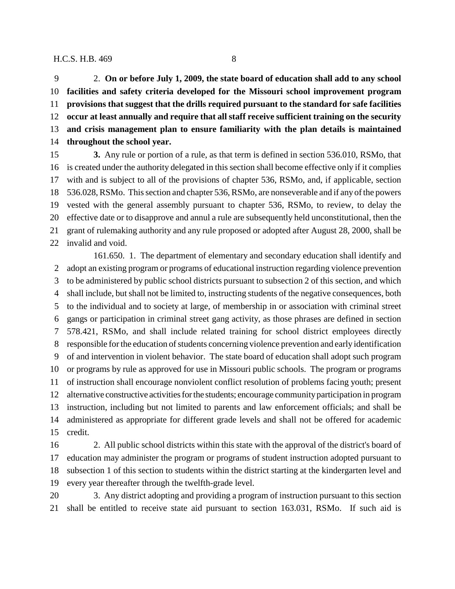2. **On or before July 1, 2009, the state board of education shall add to any school facilities and safety criteria developed for the Missouri school improvement program provisions that suggest that the drills required pursuant to the standard for safe facilities occur at least annually and require that all staff receive sufficient training on the security and crisis management plan to ensure familiarity with the plan details is maintained throughout the school year.**

 **3.** Any rule or portion of a rule, as that term is defined in section 536.010, RSMo, that is created under the authority delegated in this section shall become effective only if it complies with and is subject to all of the provisions of chapter 536, RSMo, and, if applicable, section 536.028, RSMo. This section and chapter 536, RSMo, are nonseverable and if any of the powers vested with the general assembly pursuant to chapter 536, RSMo, to review, to delay the effective date or to disapprove and annul a rule are subsequently held unconstitutional, then the grant of rulemaking authority and any rule proposed or adopted after August 28, 2000, shall be invalid and void.

161.650. 1. The department of elementary and secondary education shall identify and adopt an existing program or programs of educational instruction regarding violence prevention to be administered by public school districts pursuant to subsection 2 of this section, and which shall include, but shall not be limited to, instructing students of the negative consequences, both to the individual and to society at large, of membership in or association with criminal street gangs or participation in criminal street gang activity, as those phrases are defined in section 578.421, RSMo, and shall include related training for school district employees directly responsible for the education of students concerning violence prevention and early identification of and intervention in violent behavior. The state board of education shall adopt such program or programs by rule as approved for use in Missouri public schools. The program or programs of instruction shall encourage nonviolent conflict resolution of problems facing youth; present alternative constructive activities for the students; encourage community participation in program instruction, including but not limited to parents and law enforcement officials; and shall be administered as appropriate for different grade levels and shall not be offered for academic credit.

 2. All public school districts within this state with the approval of the district's board of education may administer the program or programs of student instruction adopted pursuant to subsection 1 of this section to students within the district starting at the kindergarten level and every year thereafter through the twelfth-grade level.

 3. Any district adopting and providing a program of instruction pursuant to this section shall be entitled to receive state aid pursuant to section 163.031, RSMo. If such aid is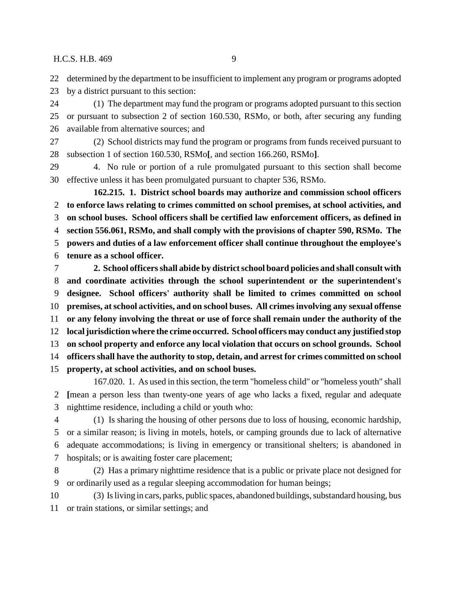determined by the department to be insufficient to implement any program or programs adopted

by a district pursuant to this section:

 (1) The department may fund the program or programs adopted pursuant to this section or pursuant to subsection 2 of section 160.530, RSMo, or both, after securing any funding available from alternative sources; and

 (2) School districts may fund the program or programs from funds received pursuant to subsection 1 of section 160.530, RSMo**[**, and section 166.260, RSMo**]**.

 4. No rule or portion of a rule promulgated pursuant to this section shall become effective unless it has been promulgated pursuant to chapter 536, RSMo.

**162.215. 1. District school boards may authorize and commission school officers to enforce laws relating to crimes committed on school premises, at school activities, and on school buses. School officers shall be certified law enforcement officers, as defined in section 556.061, RSMo, and shall comply with the provisions of chapter 590, RSMo. The powers and duties of a law enforcement officer shall continue throughout the employee's tenure as a school officer.**

 **2. School officers shall abide by district school board policies and shall consult with and coordinate activities through the school superintendent or the superintendent's designee. School officers' authority shall be limited to crimes committed on school premises, at school activities, and on school buses. All crimes involving any sexual offense or any felony involving the threat or use of force shall remain under the authority of the local jurisdiction where the crime occurred. School officers may conduct any justified stop on school property and enforce any local violation that occurs on school grounds. School officers shall have the authority to stop, detain, and arrest for crimes committed on school property, at school activities, and on school buses.**

167.020. 1. As used in this section, the term "homeless child" or "homeless youth" shall **[**mean a person less than twenty-one years of age who lacks a fixed, regular and adequate nighttime residence, including a child or youth who:

 (1) Is sharing the housing of other persons due to loss of housing, economic hardship, or a similar reason; is living in motels, hotels, or camping grounds due to lack of alternative adequate accommodations; is living in emergency or transitional shelters; is abandoned in hospitals; or is awaiting foster care placement;

 (2) Has a primary nighttime residence that is a public or private place not designed for or ordinarily used as a regular sleeping accommodation for human beings;

 (3) Is living in cars, parks, public spaces, abandoned buildings, substandard housing, bus or train stations, or similar settings; and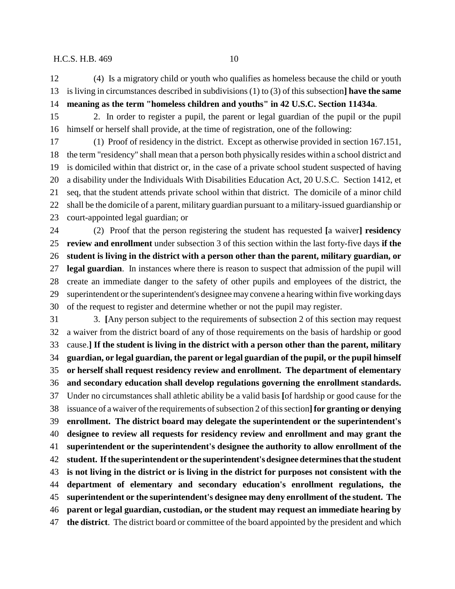(4) Is a migratory child or youth who qualifies as homeless because the child or youth is living in circumstances described in subdivisions (1) to (3) of this subsection**] have the same meaning as the term "homeless children and youths" in 42 U.S.C. Section 11434a**.

 2. In order to register a pupil, the parent or legal guardian of the pupil or the pupil himself or herself shall provide, at the time of registration, one of the following:

 (1) Proof of residency in the district. Except as otherwise provided in section 167.151, the term "residency" shall mean that a person both physically resides within a school district and is domiciled within that district or, in the case of a private school student suspected of having a disability under the Individuals With Disabilities Education Act, 20 U.S.C. Section 1412, et seq, that the student attends private school within that district. The domicile of a minor child shall be the domicile of a parent, military guardian pursuant to a military-issued guardianship or court-appointed legal guardian; or

 (2) Proof that the person registering the student has requested **[**a waiver**] residency review and enrollment** under subsection 3 of this section within the last forty-five days **if the student is living in the district with a person other than the parent, military guardian, or legal guardian**. In instances where there is reason to suspect that admission of the pupil will create an immediate danger to the safety of other pupils and employees of the district, the superintendent or the superintendent's designee may convene a hearing within five working days of the request to register and determine whether or not the pupil may register.

 3. **[**Any person subject to the requirements of subsection 2 of this section may request a waiver from the district board of any of those requirements on the basis of hardship or good cause.**] If the student is living in the district with a person other than the parent, military guardian, or legal guardian, the parent or legal guardian of the pupil, or the pupil himself or herself shall request residency review and enrollment. The department of elementary and secondary education shall develop regulations governing the enrollment standards.** Under no circumstances shall athletic ability be a valid basis **[**of hardship or good cause for the issuance of a waiver of the requirements of subsection 2 of this section**]for granting or denying enrollment. The district board may delegate the superintendent or the superintendent's designee to review all requests for residency review and enrollment and may grant the superintendent or the superintendent's designee the authority to allow enrollment of the student. If the superintendent or the superintendent's designee determines that the student is not living in the district or is living in the district for purposes not consistent with the department of elementary and secondary education's enrollment regulations, the superintendent or the superintendent's designee may deny enrollment of the student. The parent or legal guardian, custodian, or the student may request an immediate hearing by the district**. The district board or committee of the board appointed by the president and which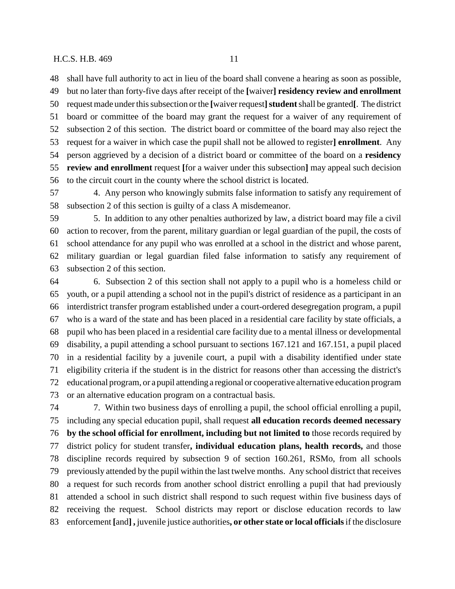but no later than forty-five days after receipt of the **[**waiver**] residency review and enrollment** request made under this subsection or the **[**waiver request**]student** shall be granted**[**. The district board or committee of the board may grant the request for a waiver of any requirement of subsection 2 of this section. The district board or committee of the board may also reject the request for a waiver in which case the pupil shall not be allowed to register**] enrollment**. Any person aggrieved by a decision of a district board or committee of the board on a **residency review and enrollment** request **[**for a waiver under this subsection**]** may appeal such decision to the circuit court in the county where the school district is located.

 4. Any person who knowingly submits false information to satisfy any requirement of subsection 2 of this section is guilty of a class A misdemeanor.

 5. In addition to any other penalties authorized by law, a district board may file a civil action to recover, from the parent, military guardian or legal guardian of the pupil, the costs of school attendance for any pupil who was enrolled at a school in the district and whose parent, military guardian or legal guardian filed false information to satisfy any requirement of subsection 2 of this section.

 6. Subsection 2 of this section shall not apply to a pupil who is a homeless child or youth, or a pupil attending a school not in the pupil's district of residence as a participant in an interdistrict transfer program established under a court-ordered desegregation program, a pupil who is a ward of the state and has been placed in a residential care facility by state officials, a pupil who has been placed in a residential care facility due to a mental illness or developmental disability, a pupil attending a school pursuant to sections 167.121 and 167.151, a pupil placed in a residential facility by a juvenile court, a pupil with a disability identified under state eligibility criteria if the student is in the district for reasons other than accessing the district's educational program, or a pupil attending a regional or cooperative alternative education program or an alternative education program on a contractual basis.

 7. Within two business days of enrolling a pupil, the school official enrolling a pupil, including any special education pupil, shall request **all education records deemed necessary by the school official for enrollment, including but not limited to** those records required by district policy for student transfer**, individual education plans, health records,** and those discipline records required by subsection 9 of section 160.261, RSMo, from all schools previously attended by the pupil within the last twelve months. Any school district that receives a request for such records from another school district enrolling a pupil that had previously attended a school in such district shall respond to such request within five business days of receiving the request. School districts may report or disclose education records to law enforcement **[**and**] ,** juvenile justice authorities**, or other state or local officials** if the disclosure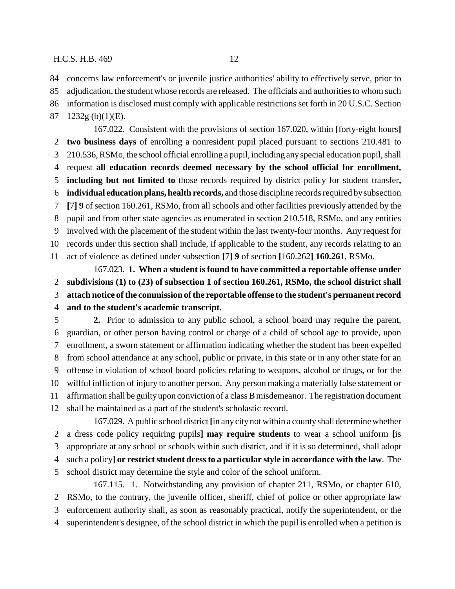concerns law enforcement's or juvenile justice authorities' ability to effectively serve, prior to adjudication, the student whose records are released. The officials and authorities to whom such

information is disclosed must comply with applicable restrictions set forth in 20 U.S.C. Section

1232g (b)(1)(E).

167.022. Consistent with the provisions of section 167.020, within **[**forty-eight hours**] two business days** of enrolling a nonresident pupil placed pursuant to sections 210.481 to 210.536, RSMo, the school official enrolling a pupil, including any special education pupil, shall request **all education records deemed necessary by the school official for enrollment, including but not limited to** those records required by district policy for student transfer**, individual education plans, health records,** and those discipline records required by subsection **[**7**] 9** of section 160.261, RSMo, from all schools and other facilities previously attended by the pupil and from other state agencies as enumerated in section 210.518, RSMo, and any entities involved with the placement of the student within the last twenty-four months. Any request for records under this section shall include, if applicable to the student, any records relating to an act of violence as defined under subsection **[**7**] 9** of section **[**160.262**] 160.261**, RSMo. 167.023. **1. When a student is found to have committed a reportable offense under**

 **subdivisions (1) to (23) of subsection 1 of section 160.261, RSMo, the school district shall attach notice of the commission of the reportable offense to the student's permanent record and to the student's academic transcript.**

 **2.** Prior to admission to any public school, a school board may require the parent, guardian, or other person having control or charge of a child of school age to provide, upon enrollment, a sworn statement or affirmation indicating whether the student has been expelled from school attendance at any school, public or private, in this state or in any other state for an offense in violation of school board policies relating to weapons, alcohol or drugs, or for the willful infliction of injury to another person. Any person making a materially false statement or affirmation shall be guilty upon conviction of a class B misdemeanor. The registration document shall be maintained as a part of the student's scholastic record.

167.029. A public school district **[**in any city not within a county shall determine whether a dress code policy requiring pupils**] may require students** to wear a school uniform **[**is appropriate at any school or schools within such district, and if it is so determined, shall adopt such a policy**] or restrict student dress to a particular style in accordance with the law**. The school district may determine the style and color of the school uniform. 167.115. 1. Notwithstanding any provision of chapter 211, RSMo, or chapter 610,

 RSMo, to the contrary, the juvenile officer, sheriff, chief of police or other appropriate law enforcement authority shall, as soon as reasonably practical, notify the superintendent, or the

superintendent's designee, of the school district in which the pupil is enrolled when a petition is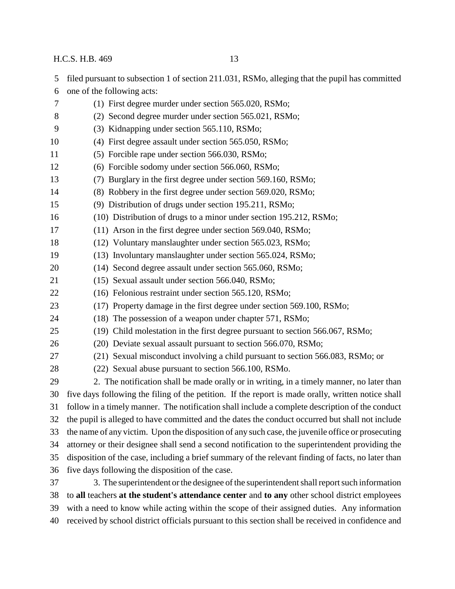- filed pursuant to subsection 1 of section 211.031, RSMo, alleging that the pupil has committed one of the following acts:
- (1) First degree murder under section 565.020, RSMo; (2) Second degree murder under section 565.021, RSMo; (3) Kidnapping under section 565.110, RSMo; (4) First degree assault under section 565.050, RSMo; (5) Forcible rape under section 566.030, RSMo; (6) Forcible sodomy under section 566.060, RSMo; (7) Burglary in the first degree under section 569.160, RSMo; (8) Robbery in the first degree under section 569.020, RSMo; (9) Distribution of drugs under section 195.211, RSMo; (10) Distribution of drugs to a minor under section 195.212, RSMo; (11) Arson in the first degree under section 569.040, RSMo; (12) Voluntary manslaughter under section 565.023, RSMo; (13) Involuntary manslaughter under section 565.024, RSMo; (14) Second degree assault under section 565.060, RSMo; (15) Sexual assault under section 566.040, RSMo; (16) Felonious restraint under section 565.120, RSMo; (17) Property damage in the first degree under section 569.100, RSMo; (18) The possession of a weapon under chapter 571, RSMo; (19) Child molestation in the first degree pursuant to section 566.067, RSMo; (20) Deviate sexual assault pursuant to section 566.070, RSMo; (21) Sexual misconduct involving a child pursuant to section 566.083, RSMo; or (22) Sexual abuse pursuant to section 566.100, RSMo. 2. The notification shall be made orally or in writing, in a timely manner, no later than five days following the filing of the petition. If the report is made orally, written notice shall follow in a timely manner. The notification shall include a complete description of the conduct the pupil is alleged to have committed and the dates the conduct occurred but shall not include the name of any victim. Upon the disposition of any such case, the juvenile office or prosecuting attorney or their designee shall send a second notification to the superintendent providing the disposition of the case, including a brief summary of the relevant finding of facts, no later than five days following the disposition of the case. 3. The superintendent or the designee of the superintendent shall report such information to **all** teachers **at the student's attendance center** and **to any** other school district employees with a need to know while acting within the scope of their assigned duties. Any information
- received by school district officials pursuant to this section shall be received in confidence and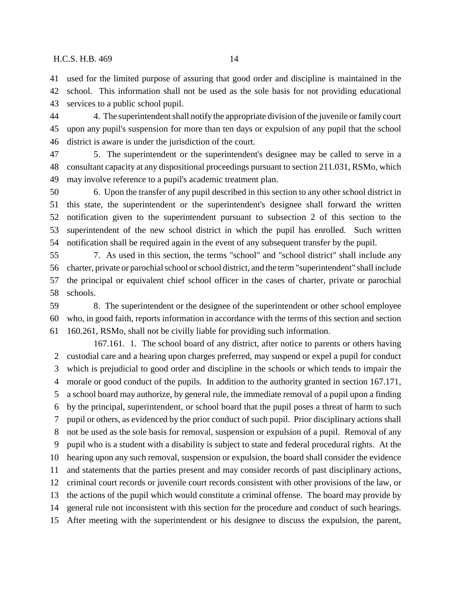used for the limited purpose of assuring that good order and discipline is maintained in the school. This information shall not be used as the sole basis for not providing educational services to a public school pupil.

 4. The superintendent shall notify the appropriate division of the juvenile or family court upon any pupil's suspension for more than ten days or expulsion of any pupil that the school district is aware is under the jurisdiction of the court.

 5. The superintendent or the superintendent's designee may be called to serve in a consultant capacity at any dispositional proceedings pursuant to section 211.031, RSMo, which may involve reference to a pupil's academic treatment plan.

 6. Upon the transfer of any pupil described in this section to any other school district in this state, the superintendent or the superintendent's designee shall forward the written notification given to the superintendent pursuant to subsection 2 of this section to the superintendent of the new school district in which the pupil has enrolled. Such written notification shall be required again in the event of any subsequent transfer by the pupil.

 7. As used in this section, the terms "school" and "school district" shall include any charter, private or parochial school or school district, and the term "superintendent" shall include the principal or equivalent chief school officer in the cases of charter, private or parochial schools.

 8. The superintendent or the designee of the superintendent or other school employee who, in good faith, reports information in accordance with the terms of this section and section 160.261, RSMo, shall not be civilly liable for providing such information.

167.161. 1. The school board of any district, after notice to parents or others having custodial care and a hearing upon charges preferred, may suspend or expel a pupil for conduct which is prejudicial to good order and discipline in the schools or which tends to impair the morale or good conduct of the pupils. In addition to the authority granted in section 167.171, a school board may authorize, by general rule, the immediate removal of a pupil upon a finding by the principal, superintendent, or school board that the pupil poses a threat of harm to such pupil or others, as evidenced by the prior conduct of such pupil. Prior disciplinary actions shall not be used as the sole basis for removal, suspension or expulsion of a pupil. Removal of any pupil who is a student with a disability is subject to state and federal procedural rights. At the hearing upon any such removal, suspension or expulsion, the board shall consider the evidence and statements that the parties present and may consider records of past disciplinary actions, criminal court records or juvenile court records consistent with other provisions of the law, or the actions of the pupil which would constitute a criminal offense. The board may provide by general rule not inconsistent with this section for the procedure and conduct of such hearings. After meeting with the superintendent or his designee to discuss the expulsion, the parent,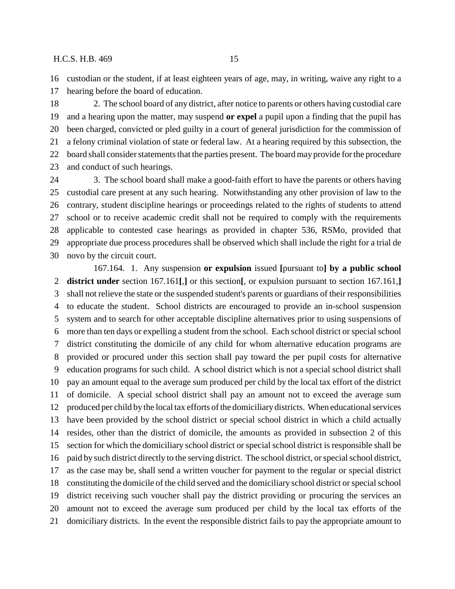custodian or the student, if at least eighteen years of age, may, in writing, waive any right to a hearing before the board of education.

 2. The school board of any district, after notice to parents or others having custodial care and a hearing upon the matter, may suspend **or expel** a pupil upon a finding that the pupil has been charged, convicted or pled guilty in a court of general jurisdiction for the commission of a felony criminal violation of state or federal law. At a hearing required by this subsection, the board shall consider statements that the parties present. The board may provide for the procedure and conduct of such hearings.

 3. The school board shall make a good-faith effort to have the parents or others having custodial care present at any such hearing. Notwithstanding any other provision of law to the contrary, student discipline hearings or proceedings related to the rights of students to attend school or to receive academic credit shall not be required to comply with the requirements applicable to contested case hearings as provided in chapter 536, RSMo, provided that appropriate due process procedures shall be observed which shall include the right for a trial de novo by the circuit court.

167.164. 1. Any suspension **or expulsion** issued **[**pursuant to**] by a public school district under** section 167.161**[**,**]** or this section**[**, or expulsion pursuant to section 167.161,**]** shall not relieve the state or the suspended student's parents or guardians of their responsibilities to educate the student. School districts are encouraged to provide an in-school suspension system and to search for other acceptable discipline alternatives prior to using suspensions of more than ten days or expelling a student from the school. Each school district or special school district constituting the domicile of any child for whom alternative education programs are provided or procured under this section shall pay toward the per pupil costs for alternative education programs for such child. A school district which is not a special school district shall pay an amount equal to the average sum produced per child by the local tax effort of the district of domicile. A special school district shall pay an amount not to exceed the average sum produced per child by the local tax efforts of the domiciliary districts. When educational services have been provided by the school district or special school district in which a child actually resides, other than the district of domicile, the amounts as provided in subsection 2 of this section for which the domiciliary school district or special school district is responsible shall be paid by such district directly to the serving district. The school district, or special school district, as the case may be, shall send a written voucher for payment to the regular or special district constituting the domicile of the child served and the domiciliary school district or special school district receiving such voucher shall pay the district providing or procuring the services an amount not to exceed the average sum produced per child by the local tax efforts of the domiciliary districts. In the event the responsible district fails to pay the appropriate amount to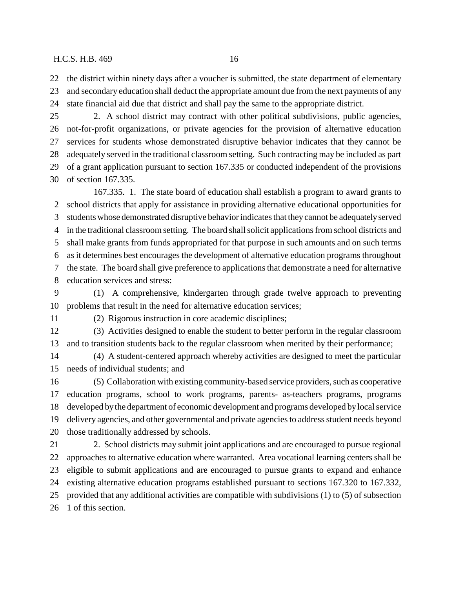the district within ninety days after a voucher is submitted, the state department of elementary and secondary education shall deduct the appropriate amount due from the next payments of any state financial aid due that district and shall pay the same to the appropriate district.

 2. A school district may contract with other political subdivisions, public agencies, not-for-profit organizations, or private agencies for the provision of alternative education services for students whose demonstrated disruptive behavior indicates that they cannot be adequately served in the traditional classroom setting. Such contracting may be included as part of a grant application pursuant to section 167.335 or conducted independent of the provisions of section 167.335.

167.335. 1. The state board of education shall establish a program to award grants to school districts that apply for assistance in providing alternative educational opportunities for students whose demonstrated disruptive behavior indicates that they cannot be adequately served in the traditional classroom setting. The board shall solicit applications from school districts and shall make grants from funds appropriated for that purpose in such amounts and on such terms as it determines best encourages the development of alternative education programs throughout the state. The board shall give preference to applications that demonstrate a need for alternative education services and stress:

 (1) A comprehensive, kindergarten through grade twelve approach to preventing problems that result in the need for alternative education services;

(2) Rigorous instruction in core academic disciplines;

 (3) Activities designed to enable the student to better perform in the regular classroom and to transition students back to the regular classroom when merited by their performance;

 (4) A student-centered approach whereby activities are designed to meet the particular needs of individual students; and

 (5) Collaboration with existing community-based service providers, such as cooperative education programs, school to work programs, parents- as-teachers programs, programs developed by the department of economic development and programs developed by local service delivery agencies, and other governmental and private agencies to address student needs beyond those traditionally addressed by schools.

 2. School districts may submit joint applications and are encouraged to pursue regional approaches to alternative education where warranted. Area vocational learning centers shall be eligible to submit applications and are encouraged to pursue grants to expand and enhance existing alternative education programs established pursuant to sections 167.320 to 167.332, provided that any additional activities are compatible with subdivisions (1) to (5) of subsection 1 of this section.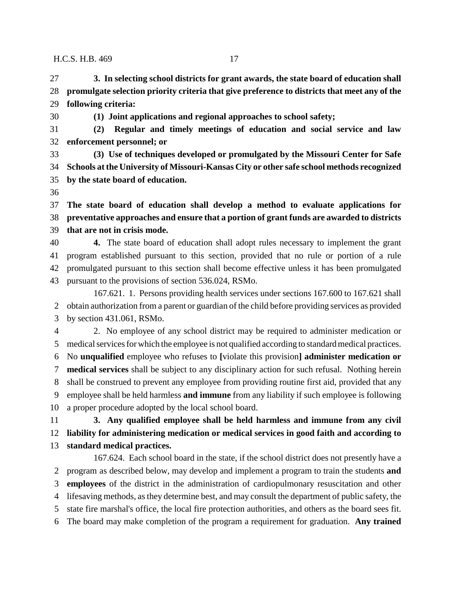**3. In selecting school districts for grant awards, the state board of education shall promulgate selection priority criteria that give preference to districts that meet any of the following criteria:**

**(1) Joint applications and regional approaches to school safety;**

 **(2) Regular and timely meetings of education and social service and law enforcement personnel; or**

 **(3) Use of techniques developed or promulgated by the Missouri Center for Safe Schools at the University of Missouri-Kansas City or other safe school methods recognized by the state board of education.**

 **The state board of education shall develop a method to evaluate applications for preventative approaches and ensure that a portion of grant funds are awarded to districts that are not in crisis mode.**

 **4.** The state board of education shall adopt rules necessary to implement the grant program established pursuant to this section, provided that no rule or portion of a rule promulgated pursuant to this section shall become effective unless it has been promulgated pursuant to the provisions of section 536.024, RSMo.

167.621. 1. Persons providing health services under sections 167.600 to 167.621 shall obtain authorization from a parent or guardian of the child before providing services as provided by section 431.061, RSMo.

 2. No employee of any school district may be required to administer medication or medical services for which the employee is not qualified according to standard medical practices. No **unqualified** employee who refuses to **[**violate this provision**] administer medication or medical services** shall be subject to any disciplinary action for such refusal. Nothing herein shall be construed to prevent any employee from providing routine first aid, provided that any employee shall be held harmless **and immune** from any liability if such employee is following a proper procedure adopted by the local school board.

 **3. Any qualified employee shall be held harmless and immune from any civil liability for administering medication or medical services in good faith and according to standard medical practices.**

167.624. Each school board in the state, if the school district does not presently have a program as described below, may develop and implement a program to train the students **and employees** of the district in the administration of cardiopulmonary resuscitation and other lifesaving methods, as they determine best, and may consult the department of public safety, the state fire marshal's office, the local fire protection authorities, and others as the board sees fit. The board may make completion of the program a requirement for graduation. **Any trained**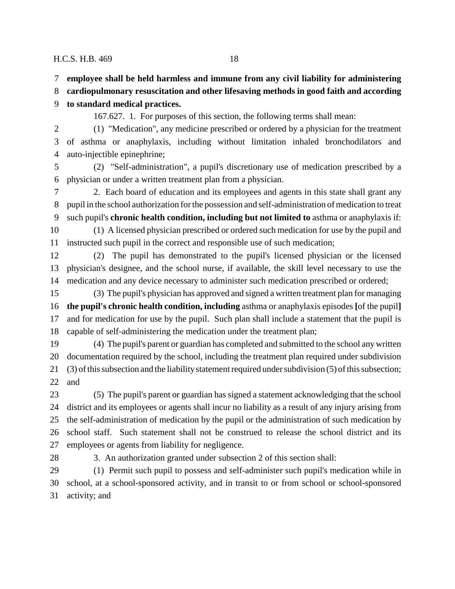**employee shall be held harmless and immune from any civil liability for administering**

**cardiopulmonary resuscitation and other lifesaving methods in good faith and according**

**to standard medical practices.**

167.627. 1. For purposes of this section, the following terms shall mean:

 (1) "Medication", any medicine prescribed or ordered by a physician for the treatment of asthma or anaphylaxis, including without limitation inhaled bronchodilators and auto-injectible epinephrine;

 (2) "Self-administration", a pupil's discretionary use of medication prescribed by a physician or under a written treatment plan from a physician.

 2. Each board of education and its employees and agents in this state shall grant any pupil in the school authorization for the possession and self-administration of medication to treat such pupil's **chronic health condition, including but not limited to** asthma or anaphylaxis if: (1) A licensed physician prescribed or ordered such medication for use by the pupil and

instructed such pupil in the correct and responsible use of such medication;

 (2) The pupil has demonstrated to the pupil's licensed physician or the licensed physician's designee, and the school nurse, if available, the skill level necessary to use the medication and any device necessary to administer such medication prescribed or ordered;

 (3) The pupil's physician has approved and signed a written treatment plan for managing **the pupil's chronic health condition, including** asthma or anaphylaxis episodes **[**of the pupil**]** and for medication for use by the pupil. Such plan shall include a statement that the pupil is capable of self-administering the medication under the treatment plan;

 (4) The pupil's parent or guardian has completed and submitted to the school any written documentation required by the school, including the treatment plan required under subdivision (3) of this subsection and the liability statement required under subdivision (5) of this subsection; and

 (5) The pupil's parent or guardian has signed a statement acknowledging that the school district and its employees or agents shall incur no liability as a result of any injury arising from the self-administration of medication by the pupil or the administration of such medication by school staff. Such statement shall not be construed to release the school district and its employees or agents from liability for negligence.

3. An authorization granted under subsection 2 of this section shall:

 (1) Permit such pupil to possess and self-administer such pupil's medication while in school, at a school-sponsored activity, and in transit to or from school or school-sponsored activity; and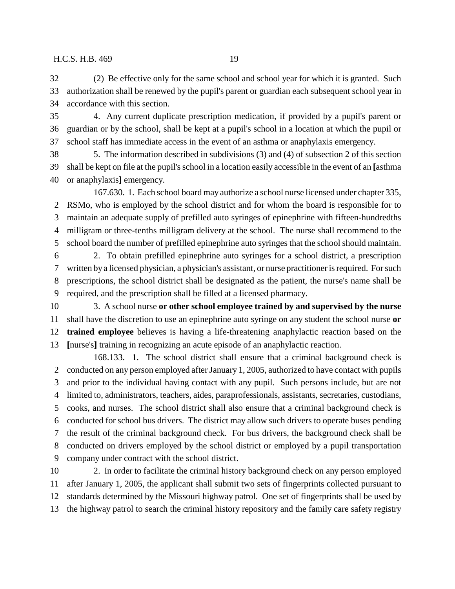(2) Be effective only for the same school and school year for which it is granted. Such authorization shall be renewed by the pupil's parent or guardian each subsequent school year in accordance with this section.

 4. Any current duplicate prescription medication, if provided by a pupil's parent or guardian or by the school, shall be kept at a pupil's school in a location at which the pupil or school staff has immediate access in the event of an asthma or anaphylaxis emergency.

 5. The information described in subdivisions (3) and (4) of subsection 2 of this section shall be kept on file at the pupil's school in a location easily accessible in the event of an **[**asthma or anaphylaxis**]** emergency.

167.630. 1. Each school board may authorize a school nurse licensed under chapter 335, RSMo, who is employed by the school district and for whom the board is responsible for to maintain an adequate supply of prefilled auto syringes of epinephrine with fifteen-hundredths milligram or three-tenths milligram delivery at the school. The nurse shall recommend to the school board the number of prefilled epinephrine auto syringes that the school should maintain.

 2. To obtain prefilled epinephrine auto syringes for a school district, a prescription written by a licensed physician, a physician's assistant, or nurse practitioner is required. For such prescriptions, the school district shall be designated as the patient, the nurse's name shall be required, and the prescription shall be filled at a licensed pharmacy.

 3. A school nurse **or other school employee trained by and supervised by the nurse** shall have the discretion to use an epinephrine auto syringe on any student the school nurse **or trained employee** believes is having a life-threatening anaphylactic reaction based on the **[**nurse's**]** training in recognizing an acute episode of an anaphylactic reaction.

168.133. 1. The school district shall ensure that a criminal background check is conducted on any person employed after January 1, 2005, authorized to have contact with pupils and prior to the individual having contact with any pupil. Such persons include, but are not limited to, administrators, teachers, aides, paraprofessionals, assistants, secretaries, custodians, cooks, and nurses. The school district shall also ensure that a criminal background check is conducted for school bus drivers. The district may allow such drivers to operate buses pending the result of the criminal background check. For bus drivers, the background check shall be conducted on drivers employed by the school district or employed by a pupil transportation company under contract with the school district.

 2. In order to facilitate the criminal history background check on any person employed after January 1, 2005, the applicant shall submit two sets of fingerprints collected pursuant to standards determined by the Missouri highway patrol. One set of fingerprints shall be used by the highway patrol to search the criminal history repository and the family care safety registry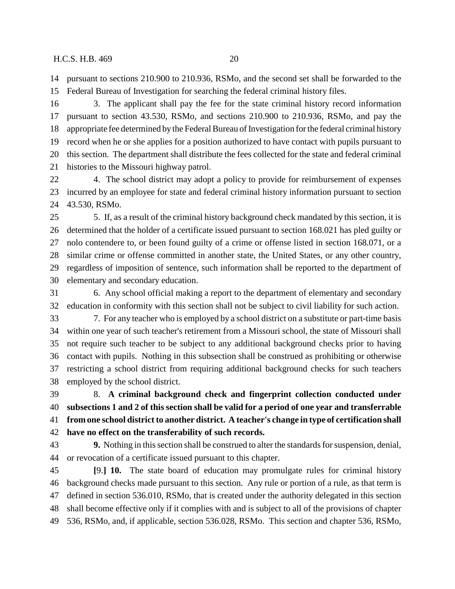pursuant to sections 210.900 to 210.936, RSMo, and the second set shall be forwarded to the Federal Bureau of Investigation for searching the federal criminal history files.

 3. The applicant shall pay the fee for the state criminal history record information pursuant to section 43.530, RSMo, and sections 210.900 to 210.936, RSMo, and pay the appropriate fee determined by the Federal Bureau of Investigation for the federal criminal history record when he or she applies for a position authorized to have contact with pupils pursuant to this section. The department shall distribute the fees collected for the state and federal criminal histories to the Missouri highway patrol.

 4. The school district may adopt a policy to provide for reimbursement of expenses incurred by an employee for state and federal criminal history information pursuant to section 43.530, RSMo.

 5. If, as a result of the criminal history background check mandated by this section, it is determined that the holder of a certificate issued pursuant to section 168.021 has pled guilty or nolo contendere to, or been found guilty of a crime or offense listed in section 168.071, or a similar crime or offense committed in another state, the United States, or any other country, regardless of imposition of sentence, such information shall be reported to the department of elementary and secondary education.

 6. Any school official making a report to the department of elementary and secondary education in conformity with this section shall not be subject to civil liability for such action.

 7. For any teacher who is employed by a school district on a substitute or part-time basis within one year of such teacher's retirement from a Missouri school, the state of Missouri shall not require such teacher to be subject to any additional background checks prior to having contact with pupils. Nothing in this subsection shall be construed as prohibiting or otherwise restricting a school district from requiring additional background checks for such teachers employed by the school district.

 8. **A criminal background check and fingerprint collection conducted under subsections 1 and 2 of this section shall be valid for a period of one year and transferrable from one school district to another district. A teacher's change in type of certification shall have no effect on the transferability of such records.**

 **9.** Nothing in this section shall be construed to alter the standards for suspension, denial, or revocation of a certificate issued pursuant to this chapter.

 **[**9.**] 10.** The state board of education may promulgate rules for criminal history background checks made pursuant to this section. Any rule or portion of a rule, as that term is defined in section 536.010, RSMo, that is created under the authority delegated in this section shall become effective only if it complies with and is subject to all of the provisions of chapter 536, RSMo, and, if applicable, section 536.028, RSMo. This section and chapter 536, RSMo,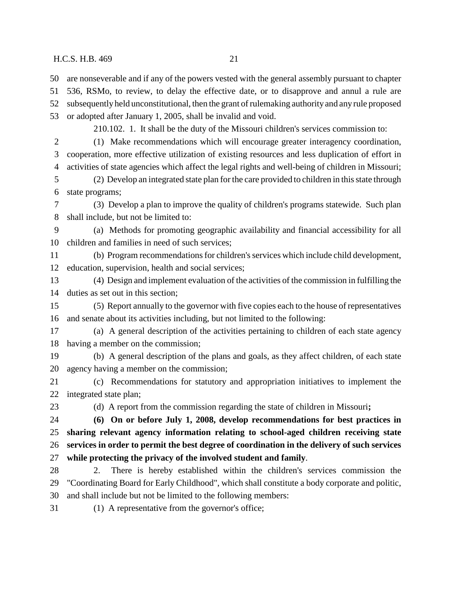are nonseverable and if any of the powers vested with the general assembly pursuant to chapter

536, RSMo, to review, to delay the effective date, or to disapprove and annul a rule are

 subsequently held unconstitutional, then the grant of rulemaking authority and any rule proposed or adopted after January 1, 2005, shall be invalid and void.

210.102. 1. It shall be the duty of the Missouri children's services commission to:

 (1) Make recommendations which will encourage greater interagency coordination, cooperation, more effective utilization of existing resources and less duplication of effort in activities of state agencies which affect the legal rights and well-being of children in Missouri;

 (2) Develop an integrated state plan for the care provided to children in this state through state programs;

 (3) Develop a plan to improve the quality of children's programs statewide. Such plan shall include, but not be limited to:

 (a) Methods for promoting geographic availability and financial accessibility for all children and families in need of such services;

 (b) Program recommendations for children's services which include child development, education, supervision, health and social services;

 (4) Design and implement evaluation of the activities of the commission in fulfilling the duties as set out in this section;

 (5) Report annually to the governor with five copies each to the house of representatives and senate about its activities including, but not limited to the following:

 (a) A general description of the activities pertaining to children of each state agency having a member on the commission;

 (b) A general description of the plans and goals, as they affect children, of each state agency having a member on the commission;

 (c) Recommendations for statutory and appropriation initiatives to implement the integrated state plan;

(d) A report from the commission regarding the state of children in Missouri**;**

 **(6) On or before July 1, 2008, develop recommendations for best practices in sharing relevant agency information relating to school-aged children receiving state services in order to permit the best degree of coordination in the delivery of such services**

**while protecting the privacy of the involved student and family**.

 2. There is hereby established within the children's services commission the "Coordinating Board for Early Childhood", which shall constitute a body corporate and politic, and shall include but not be limited to the following members:

(1) A representative from the governor's office;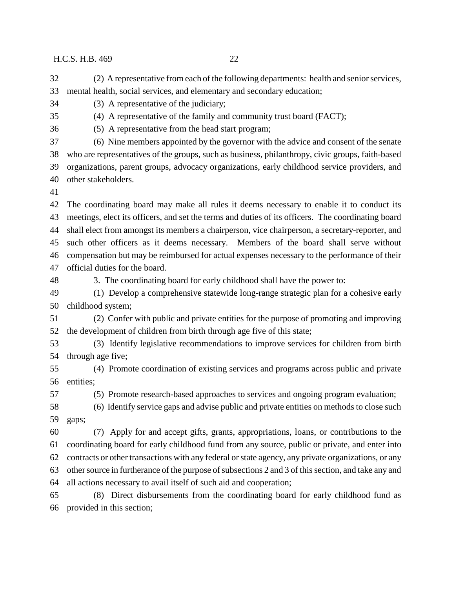(2) A representative from each of the following departments: health and senior services, mental health, social services, and elementary and secondary education;

(3) A representative of the judiciary;

(4) A representative of the family and community trust board (FACT);

(5) A representative from the head start program;

 (6) Nine members appointed by the governor with the advice and consent of the senate who are representatives of the groups, such as business, philanthropy, civic groups, faith-based organizations, parent groups, advocacy organizations, early childhood service providers, and other stakeholders.

 The coordinating board may make all rules it deems necessary to enable it to conduct its meetings, elect its officers, and set the terms and duties of its officers. The coordinating board shall elect from amongst its members a chairperson, vice chairperson, a secretary-reporter, and such other officers as it deems necessary. Members of the board shall serve without compensation but may be reimbursed for actual expenses necessary to the performance of their official duties for the board.

3. The coordinating board for early childhood shall have the power to:

 (1) Develop a comprehensive statewide long-range strategic plan for a cohesive early childhood system;

 (2) Confer with public and private entities for the purpose of promoting and improving the development of children from birth through age five of this state;

 (3) Identify legislative recommendations to improve services for children from birth through age five;

 (4) Promote coordination of existing services and programs across public and private entities;

(5) Promote research-based approaches to services and ongoing program evaluation;

 (6) Identify service gaps and advise public and private entities on methods to close such gaps;

 (7) Apply for and accept gifts, grants, appropriations, loans, or contributions to the coordinating board for early childhood fund from any source, public or private, and enter into contracts or other transactions with any federal or state agency, any private organizations, or any other source in furtherance of the purpose of subsections 2 and 3 of this section, and take any and all actions necessary to avail itself of such aid and cooperation;

 (8) Direct disbursements from the coordinating board for early childhood fund as provided in this section;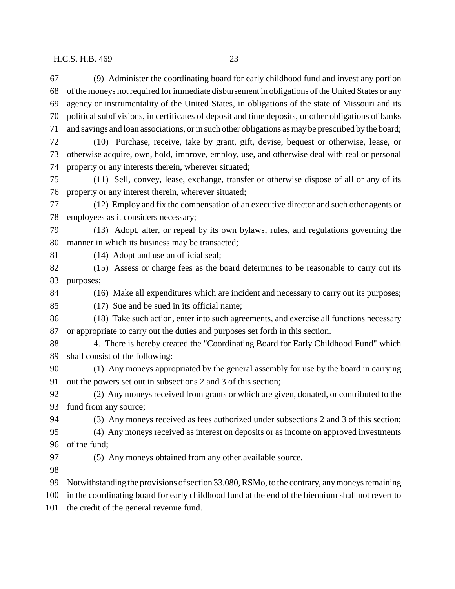(9) Administer the coordinating board for early childhood fund and invest any portion of the moneys not required for immediate disbursement in obligations of the United States or any agency or instrumentality of the United States, in obligations of the state of Missouri and its political subdivisions, in certificates of deposit and time deposits, or other obligations of banks and savings and loan associations, or in such other obligations as may be prescribed by the board; (10) Purchase, receive, take by grant, gift, devise, bequest or otherwise, lease, or otherwise acquire, own, hold, improve, employ, use, and otherwise deal with real or personal property or any interests therein, wherever situated; (11) Sell, convey, lease, exchange, transfer or otherwise dispose of all or any of its property or any interest therein, wherever situated; (12) Employ and fix the compensation of an executive director and such other agents or employees as it considers necessary; (13) Adopt, alter, or repeal by its own bylaws, rules, and regulations governing the manner in which its business may be transacted; (14) Adopt and use an official seal; (15) Assess or charge fees as the board determines to be reasonable to carry out its purposes; (16) Make all expenditures which are incident and necessary to carry out its purposes; (17) Sue and be sued in its official name; (18) Take such action, enter into such agreements, and exercise all functions necessary or appropriate to carry out the duties and purposes set forth in this section. 4. There is hereby created the "Coordinating Board for Early Childhood Fund" which shall consist of the following: (1) Any moneys appropriated by the general assembly for use by the board in carrying out the powers set out in subsections 2 and 3 of this section; (2) Any moneys received from grants or which are given, donated, or contributed to the fund from any source; (3) Any moneys received as fees authorized under subsections 2 and 3 of this section; (4) Any moneys received as interest on deposits or as income on approved investments of the fund; (5) Any moneys obtained from any other available source. Notwithstanding the provisions of section 33.080, RSMo, to the contrary, any moneys remaining in the coordinating board for early childhood fund at the end of the biennium shall not revert to the credit of the general revenue fund.